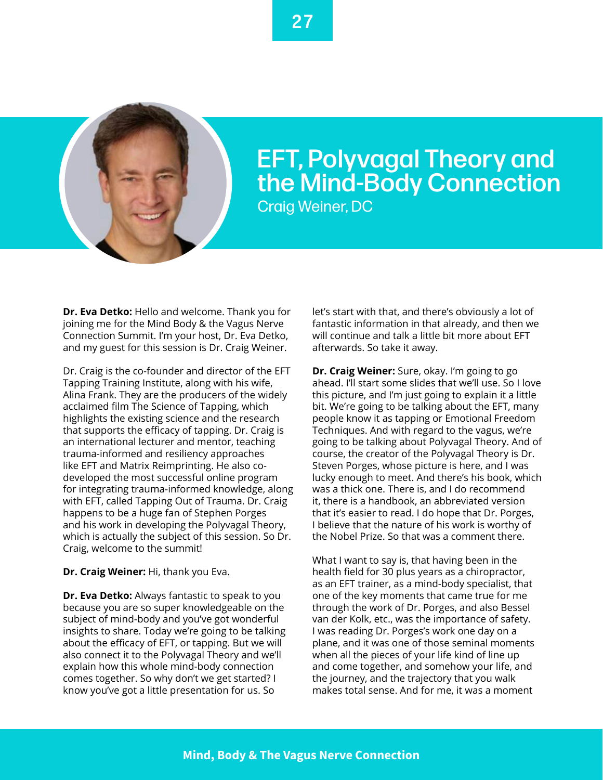

## EFT, Polyvagal Theory and the Mind-Body Connection Craig Weiner, DC

**Dr. Eva Detko:** Hello and welcome. Thank you for joining me for the Mind Body & the Vagus Nerve Connection Summit. I'm your host, Dr. Eva Detko, and my guest for this session is Dr. Craig Weiner.

Dr. Craig is the co-founder and director of the EFT Tapping Training Institute, along with his wife, Alina Frank. They are the producers of the widely acclaimed film The Science of Tapping, which highlights the existing science and the research that supports the efficacy of tapping. Dr. Craig is an international lecturer and mentor, teaching trauma-informed and resiliency approaches like EFT and Matrix Reimprinting. He also codeveloped the most successful online program for integrating trauma-informed knowledge, along with EFT, called Tapping Out of Trauma. Dr. Craig happens to be a huge fan of Stephen Porges and his work in developing the Polyvagal Theory, which is actually the subject of this session. So Dr. Craig, welcome to the summit!

## **Dr. Craig Weiner:** Hi, thank you Eva.

**Dr. Eva Detko:** Always fantastic to speak to you because you are so super knowledgeable on the subject of mind-body and you've got wonderful insights to share. Today we're going to be talking about the efficacy of EFT, or tapping. But we will also connect it to the Polyvagal Theory and we'll explain how this whole mind-body connection comes together. So why don't we get started? I know you've got a little presentation for us. So

let's start with that, and there's obviously a lot of fantastic information in that already, and then we will continue and talk a little bit more about EFT afterwards. So take it away.

**Dr. Craig Weiner:** Sure, okay. I'm going to go ahead. I'll start some slides that we'll use. So I love this picture, and I'm just going to explain it a little bit. We're going to be talking about the EFT, many people know it as tapping or Emotional Freedom Techniques. And with regard to the vagus, we're going to be talking about Polyvagal Theory. And of course, the creator of the Polyvagal Theory is Dr. Steven Porges, whose picture is here, and I was lucky enough to meet. And there's his book, which was a thick one. There is, and I do recommend it, there is a handbook, an abbreviated version that it's easier to read. I do hope that Dr. Porges, I believe that the nature of his work is worthy of the Nobel Prize. So that was a comment there.

What I want to say is, that having been in the health field for 30 plus years as a chiropractor, as an EFT trainer, as a mind-body specialist, that one of the key moments that came true for me through the work of Dr. Porges, and also Bessel van der Kolk, etc., was the importance of safety. I was reading Dr. Porges's work one day on a plane, and it was one of those seminal moments when all the pieces of your life kind of line up and come together, and somehow your life, and the journey, and the trajectory that you walk makes total sense. And for me, it was a moment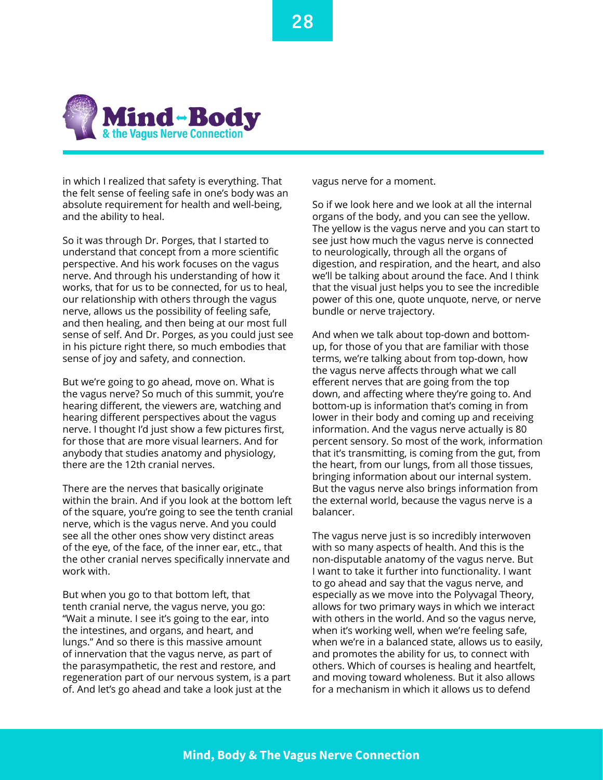

in which I realized that safety is everything. That the felt sense of feeling safe in one's body was an absolute requirement for health and well-being, and the ability to heal.

So it was through Dr. Porges, that I started to understand that concept from a more scientific perspective. And his work focuses on the vagus nerve. And through his understanding of how it works, that for us to be connected, for us to heal, our relationship with others through the vagus nerve, allows us the possibility of feeling safe, and then healing, and then being at our most full sense of self. And Dr. Porges, as you could just see in his picture right there, so much embodies that sense of joy and safety, and connection.

But we're going to go ahead, move on. What is the vagus nerve? So much of this summit, you're hearing different, the viewers are, watching and hearing different perspectives about the vagus nerve. I thought I'd just show a few pictures first, for those that are more visual learners. And for anybody that studies anatomy and physiology, there are the 12th cranial nerves.

There are the nerves that basically originate within the brain. And if you look at the bottom left of the square, you're going to see the tenth cranial nerve, which is the vagus nerve. And you could see all the other ones show very distinct areas of the eye, of the face, of the inner ear, etc., that the other cranial nerves specifically innervate and work with.

But when you go to that bottom left, that tenth cranial nerve, the vagus nerve, you go: "Wait a minute. I see it's going to the ear, into the intestines, and organs, and heart, and lungs." And so there is this massive amount of innervation that the vagus nerve, as part of the parasympathetic, the rest and restore, and regeneration part of our nervous system, is a part of. And let's go ahead and take a look just at the

vagus nerve for a moment.

So if we look here and we look at all the internal organs of the body, and you can see the yellow. The yellow is the vagus nerve and you can start to see just how much the vagus nerve is connected to neurologically, through all the organs of digestion, and respiration, and the heart, and also we'll be talking about around the face. And I think that the visual just helps you to see the incredible power of this one, quote unquote, nerve, or nerve bundle or nerve trajectory.

And when we talk about top-down and bottomup, for those of you that are familiar with those terms, we're talking about from top-down, how the vagus nerve affects through what we call efferent nerves that are going from the top down, and affecting where they're going to. And bottom-up is information that's coming in from lower in their body and coming up and receiving information. And the vagus nerve actually is 80 percent sensory. So most of the work, information that it's transmitting, is coming from the gut, from the heart, from our lungs, from all those tissues, bringing information about our internal system. But the vagus nerve also brings information from the external world, because the vagus nerve is a balancer.

The vagus nerve just is so incredibly interwoven with so many aspects of health. And this is the non-disputable anatomy of the vagus nerve. But I want to take it further into functionality. I want to go ahead and say that the vagus nerve, and especially as we move into the Polyvagal Theory, allows for two primary ways in which we interact with others in the world. And so the vagus nerve, when it's working well, when we're feeling safe, when we're in a balanced state, allows us to easily, and promotes the ability for us, to connect with others. Which of courses is healing and heartfelt, and moving toward wholeness. But it also allows for a mechanism in which it allows us to defend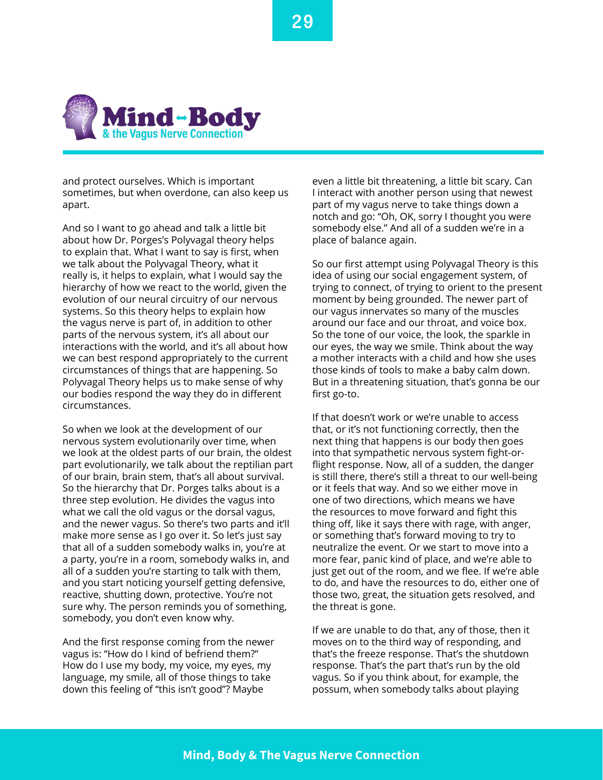

and protect ourselves. Which is important sometimes, but when overdone, can also keep us apart.

And so I want to go ahead and talk a little bit about how Dr. Porges's Polyvagal theory helps to explain that. What I want to say is first, when we talk about the Polyvagal Theory, what it really is, it helps to explain, what I would say the hierarchy of how we react to the world, given the evolution of our neural circuitry of our nervous systems. So this theory helps to explain how the vagus nerve is part of, in addition to other parts of the nervous system, it's all about our interactions with the world, and it's all about how we can best respond appropriately to the current circumstances of things that are happening. So Polyvagal Theory helps us to make sense of why our bodies respond the way they do in different circumstances.

So when we look at the development of our nervous system evolutionarily over time, when we look at the oldest parts of our brain, the oldest part evolutionarily, we talk about the reptilian part of our brain, brain stem, that's all about survival. So the hierarchy that Dr. Porges talks about is a three step evolution. He divides the vagus into what we call the old vagus or the dorsal vagus, and the newer vagus. So there's two parts and it'll make more sense as I go over it. So let's just say that all of a sudden somebody walks in, you're at a party, you're in a room, somebody walks in, and all of a sudden you're starting to talk with them, and you start noticing yourself getting defensive, reactive, shutting down, protective. You're not sure why. The person reminds you of something, somebody, you don't even know why.

And the first response coming from the newer vagus is: "How do I kind of befriend them?" How do I use my body, my voice, my eyes, my language, my smile, all of those things to take down this feeling of "this isn't good"? Maybe

even a little bit threatening, a little bit scary. Can I interact with another person using that newest part of my vagus nerve to take things down a notch and go: "Oh, OK, sorry I thought you were somebody else." And all of a sudden we're in a place of balance again.

So our first attempt using Polyvagal Theory is this idea of using our social engagement system, of trying to connect, of trying to orient to the present moment by being grounded. The newer part of our vagus innervates so many of the muscles around our face and our throat, and voice box. So the tone of our voice, the look, the sparkle in our eyes, the way we smile. Think about the way a mother interacts with a child and how she uses those kinds of tools to make a baby calm down. But in a threatening situation, that's gonna be our first go-to.

If that doesn't work or we're unable to access that, or it's not functioning correctly, then the next thing that happens is our body then goes into that sympathetic nervous system fight-orflight response. Now, all of a sudden, the danger is still there, there's still a threat to our well-being or it feels that way. And so we either move in one of two directions, which means we have the resources to move forward and fight this thing off, like it says there with rage, with anger, or something that's forward moving to try to neutralize the event. Or we start to move into a more fear, panic kind of place, and we're able to just get out of the room, and we flee. If we're able to do, and have the resources to do, either one of those two, great, the situation gets resolved, and the threat is gone.

If we are unable to do that, any of those, then it moves on to the third way of responding, and that's the freeze response. That's the shutdown response. That's the part that's run by the old vagus. So if you think about, for example, the possum, when somebody talks about playing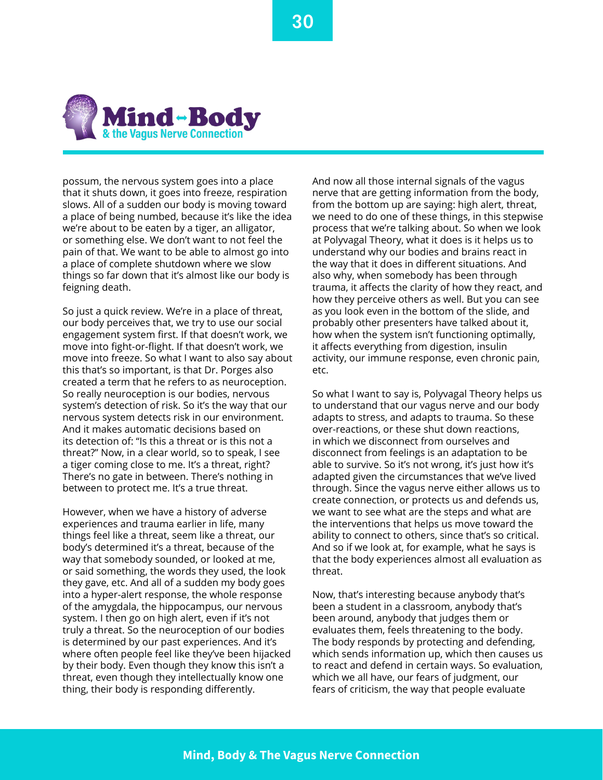

possum, the nervous system goes into a place that it shuts down, it goes into freeze, respiration slows. All of a sudden our body is moving toward a place of being numbed, because it's like the idea we're about to be eaten by a tiger, an alligator, or something else. We don't want to not feel the pain of that. We want to be able to almost go into a place of complete shutdown where we slow things so far down that it's almost like our body is feigning death.

So just a quick review. We're in a place of threat, our body perceives that, we try to use our social engagement system first. If that doesn't work, we move into fight-or-flight. If that doesn't work, we move into freeze. So what I want to also say about this that's so important, is that Dr. Porges also created a term that he refers to as neuroception. So really neuroception is our bodies, nervous system's detection of risk. So it's the way that our nervous system detects risk in our environment. And it makes automatic decisions based on its detection of: "Is this a threat or is this not a threat?" Now, in a clear world, so to speak, I see a tiger coming close to me. It's a threat, right? There's no gate in between. There's nothing in between to protect me. It's a true threat.

However, when we have a history of adverse experiences and trauma earlier in life, many things feel like a threat, seem like a threat, our body's determined it's a threat, because of the way that somebody sounded, or looked at me, or said something, the words they used, the look they gave, etc. And all of a sudden my body goes into a hyper-alert response, the whole response of the amygdala, the hippocampus, our nervous system. I then go on high alert, even if it's not truly a threat. So the neuroception of our bodies is determined by our past experiences. And it's where often people feel like they've been hijacked by their body. Even though they know this isn't a threat, even though they intellectually know one thing, their body is responding differently.

And now all those internal signals of the vagus nerve that are getting information from the body, from the bottom up are saying: high alert, threat, we need to do one of these things, in this stepwise process that we're talking about. So when we look at Polyvagal Theory, what it does is it helps us to understand why our bodies and brains react in the way that it does in different situations. And also why, when somebody has been through trauma, it affects the clarity of how they react, and how they perceive others as well. But you can see as you look even in the bottom of the slide, and probably other presenters have talked about it, how when the system isn't functioning optimally, it affects everything from digestion, insulin activity, our immune response, even chronic pain, etc.

So what I want to say is, Polyvagal Theory helps us to understand that our vagus nerve and our body adapts to stress, and adapts to trauma. So these over-reactions, or these shut down reactions, in which we disconnect from ourselves and disconnect from feelings is an adaptation to be able to survive. So it's not wrong, it's just how it's adapted given the circumstances that we've lived through. Since the vagus nerve either allows us to create connection, or protects us and defends us, we want to see what are the steps and what are the interventions that helps us move toward the ability to connect to others, since that's so critical. And so if we look at, for example, what he says is that the body experiences almost all evaluation as threat.

Now, that's interesting because anybody that's been a student in a classroom, anybody that's been around, anybody that judges them or evaluates them, feels threatening to the body. The body responds by protecting and defending, which sends information up, which then causes us to react and defend in certain ways. So evaluation, which we all have, our fears of judgment, our fears of criticism, the way that people evaluate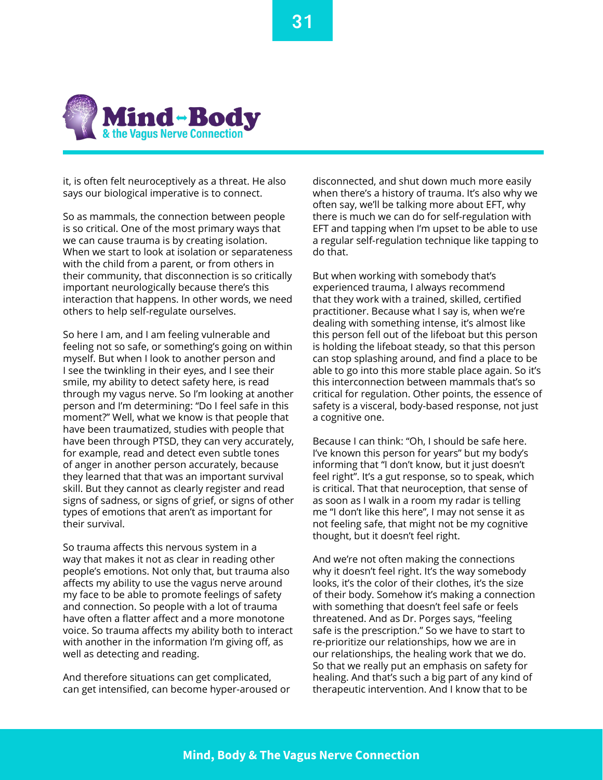

it, is often felt neuroceptively as a threat. He also says our biological imperative is to connect.

So as mammals, the connection between people is so critical. One of the most primary ways that we can cause trauma is by creating isolation. When we start to look at isolation or separateness with the child from a parent, or from others in their community, that disconnection is so critically important neurologically because there's this interaction that happens. In other words, we need others to help self-regulate ourselves.

So here I am, and I am feeling vulnerable and feeling not so safe, or something's going on within myself. But when I look to another person and I see the twinkling in their eyes, and I see their smile, my ability to detect safety here, is read through my vagus nerve. So I'm looking at another person and I'm determining: "Do I feel safe in this moment?" Well, what we know is that people that have been traumatized, studies with people that have been through PTSD, they can very accurately, for example, read and detect even subtle tones of anger in another person accurately, because they learned that that was an important survival skill. But they cannot as clearly register and read signs of sadness, or signs of grief, or signs of other types of emotions that aren't as important for their survival.

So trauma affects this nervous system in a way that makes it not as clear in reading other people's emotions. Not only that, but trauma also affects my ability to use the vagus nerve around my face to be able to promote feelings of safety and connection. So people with a lot of trauma have often a flatter affect and a more monotone voice. So trauma affects my ability both to interact with another in the information I'm giving off, as well as detecting and reading.

And therefore situations can get complicated, can get intensified, can become hyper-aroused or disconnected, and shut down much more easily when there's a history of trauma. It's also why we often say, we'll be talking more about EFT, why there is much we can do for self-regulation with EFT and tapping when I'm upset to be able to use a regular self-regulation technique like tapping to do that.

But when working with somebody that's experienced trauma, I always recommend that they work with a trained, skilled, certified practitioner. Because what I say is, when we're dealing with something intense, it's almost like this person fell out of the lifeboat but this person is holding the lifeboat steady, so that this person can stop splashing around, and find a place to be able to go into this more stable place again. So it's this interconnection between mammals that's so critical for regulation. Other points, the essence of safety is a visceral, body-based response, not just a cognitive one.

Because I can think: "Oh, I should be safe here. I've known this person for years" but my body's informing that "I don't know, but it just doesn't feel right". It's a gut response, so to speak, which is critical. That that neuroception, that sense of as soon as I walk in a room my radar is telling me "I don't like this here", I may not sense it as not feeling safe, that might not be my cognitive thought, but it doesn't feel right.

And we're not often making the connections why it doesn't feel right. It's the way somebody looks, it's the color of their clothes, it's the size of their body. Somehow it's making a connection with something that doesn't feel safe or feels threatened. And as Dr. Porges says, "feeling safe is the prescription." So we have to start to re-prioritize our relationships, how we are in our relationships, the healing work that we do. So that we really put an emphasis on safety for healing. And that's such a big part of any kind of therapeutic intervention. And I know that to be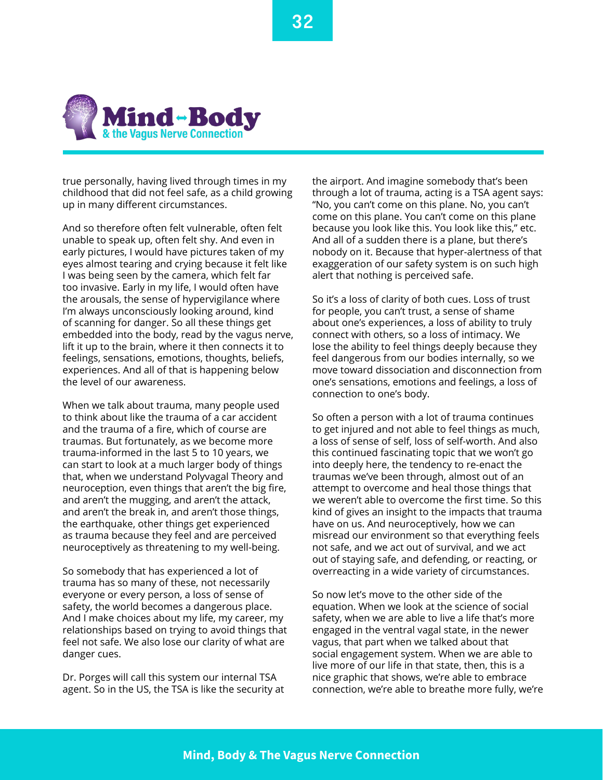

true personally, having lived through times in my childhood that did not feel safe, as a child growing up in many different circumstances.

And so therefore often felt vulnerable, often felt unable to speak up, often felt shy. And even in early pictures, I would have pictures taken of my eyes almost tearing and crying because it felt like I was being seen by the camera, which felt far too invasive. Early in my life, I would often have the arousals, the sense of hypervigilance where I'm always unconsciously looking around, kind of scanning for danger. So all these things get embedded into the body, read by the vagus nerve, lift it up to the brain, where it then connects it to feelings, sensations, emotions, thoughts, beliefs, experiences. And all of that is happening below the level of our awareness.

When we talk about trauma, many people used to think about like the trauma of a car accident and the trauma of a fire, which of course are traumas. But fortunately, as we become more trauma-informed in the last 5 to 10 years, we can start to look at a much larger body of things that, when we understand Polyvagal Theory and neuroception, even things that aren't the big fire, and aren't the mugging, and aren't the attack, and aren't the break in, and aren't those things, the earthquake, other things get experienced as trauma because they feel and are perceived neuroceptively as threatening to my well-being.

So somebody that has experienced a lot of trauma has so many of these, not necessarily everyone or every person, a loss of sense of safety, the world becomes a dangerous place. And I make choices about my life, my career, my relationships based on trying to avoid things that feel not safe. We also lose our clarity of what are danger cues.

Dr. Porges will call this system our internal TSA agent. So in the US, the TSA is like the security at

the airport. And imagine somebody that's been through a lot of trauma, acting is a TSA agent says: "No, you can't come on this plane. No, you can't come on this plane. You can't come on this plane because you look like this. You look like this," etc. And all of a sudden there is a plane, but there's nobody on it. Because that hyper-alertness of that exaggeration of our safety system is on such high alert that nothing is perceived safe.

So it's a loss of clarity of both cues. Loss of trust for people, you can't trust, a sense of shame about one's experiences, a loss of ability to truly connect with others, so a loss of intimacy. We lose the ability to feel things deeply because they feel dangerous from our bodies internally, so we move toward dissociation and disconnection from one's sensations, emotions and feelings, a loss of connection to one's body.

So often a person with a lot of trauma continues to get injured and not able to feel things as much, a loss of sense of self, loss of self-worth. And also this continued fascinating topic that we won't go into deeply here, the tendency to re-enact the traumas we've been through, almost out of an attempt to overcome and heal those things that we weren't able to overcome the first time. So this kind of gives an insight to the impacts that trauma have on us. And neuroceptively, how we can misread our environment so that everything feels not safe, and we act out of survival, and we act out of staying safe, and defending, or reacting, or overreacting in a wide variety of circumstances.

So now let's move to the other side of the equation. When we look at the science of social safety, when we are able to live a life that's more engaged in the ventral vagal state, in the newer vagus, that part when we talked about that social engagement system. When we are able to live more of our life in that state, then, this is a nice graphic that shows, we're able to embrace connection, we're able to breathe more fully, we're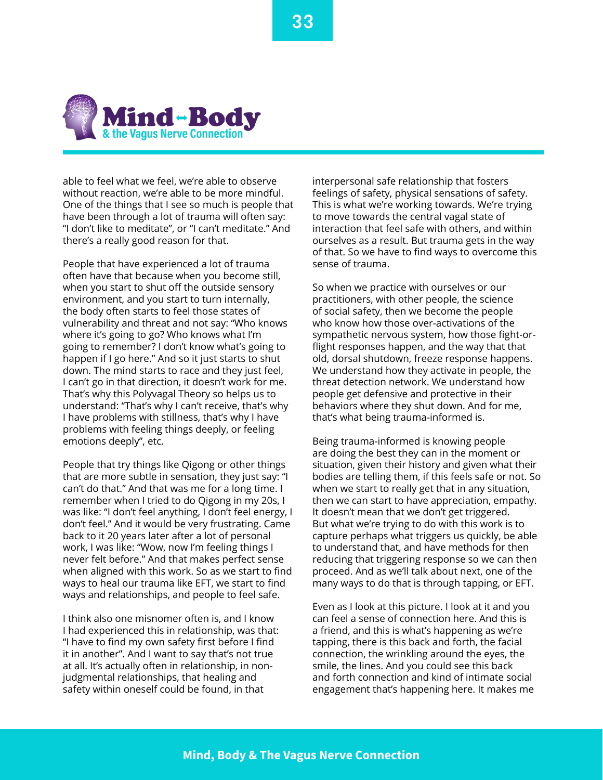

able to feel what we feel, we're able to observe without reaction, we're able to be more mindful. One of the things that I see so much is people that have been through a lot of trauma will often say: "I don't like to meditate", or "I can't meditate." And there's a really good reason for that.

People that have experienced a lot of trauma often have that because when you become still, when you start to shut off the outside sensory environment, and you start to turn internally, the body often starts to feel those states of vulnerability and threat and not say: "Who knows where it's going to go? Who knows what I'm going to remember? I don't know what's going to happen if I go here." And so it just starts to shut down. The mind starts to race and they just feel, I can't go in that direction, it doesn't work for me. That's why this Polyvagal Theory so helps us to understand: "That's why I can't receive, that's why I have problems with stillness, that's why I have problems with feeling things deeply, or feeling emotions deeply", etc.

People that try things like Qigong or other things that are more subtle in sensation, they just say: "I can't do that." And that was me for a long time. I remember when I tried to do Qigong in my 20s, I was like: "I don't feel anything, I don't feel energy, I don't feel." And it would be very frustrating. Came back to it 20 years later after a lot of personal work, I was like: "Wow, now I'm feeling things I never felt before." And that makes perfect sense when aligned with this work. So as we start to find ways to heal our trauma like EFT, we start to find ways and relationships, and people to feel safe.

I think also one misnomer often is, and I know I had experienced this in relationship, was that: "I have to find my own safety first before I find it in another". And I want to say that's not true at all. It's actually often in relationship, in nonjudgmental relationships, that healing and safety within oneself could be found, in that

interpersonal safe relationship that fosters feelings of safety, physical sensations of safety. This is what we're working towards. We're trying to move towards the central vagal state of interaction that feel safe with others, and within ourselves as a result. But trauma gets in the way of that. So we have to find ways to overcome this sense of trauma.

So when we practice with ourselves or our practitioners, with other people, the science of social safety, then we become the people who know how those over-activations of the sympathetic nervous system, how those fight-orflight responses happen, and the way that that old, dorsal shutdown, freeze response happens. We understand how they activate in people, the threat detection network. We understand how people get defensive and protective in their behaviors where they shut down. And for me, that's what being trauma-informed is.

Being trauma-informed is knowing people are doing the best they can in the moment or situation, given their history and given what their bodies are telling them, if this feels safe or not. So when we start to really get that in any situation, then we can start to have appreciation, empathy. It doesn't mean that we don't get triggered. But what we're trying to do with this work is to capture perhaps what triggers us quickly, be able to understand that, and have methods for then reducing that triggering response so we can then proceed. And as we'll talk about next, one of the many ways to do that is through tapping, or EFT.

Even as I look at this picture. I look at it and you can feel a sense of connection here. And this is a friend, and this is what's happening as we're tapping, there is this back and forth, the facial connection, the wrinkling around the eyes, the smile, the lines. And you could see this back and forth connection and kind of intimate social engagement that's happening here. It makes me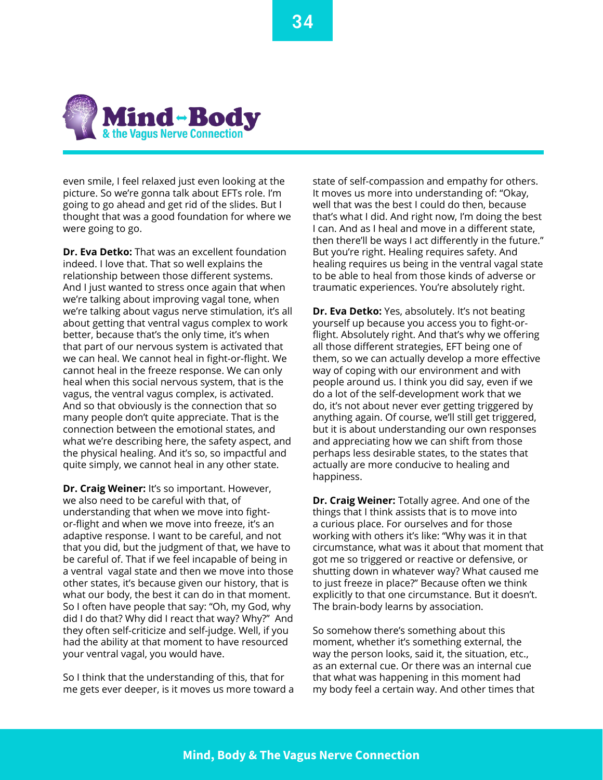

even smile, I feel relaxed just even looking at the picture. So we're gonna talk about EFTs role. I'm going to go ahead and get rid of the slides. But I thought that was a good foundation for where we were going to go.

**Dr. Eva Detko:** That was an excellent foundation indeed. I love that. That so well explains the relationship between those different systems. And I just wanted to stress once again that when we're talking about improving vagal tone, when we're talking about vagus nerve stimulation, it's all about getting that ventral vagus complex to work better, because that's the only time, it's when that part of our nervous system is activated that we can heal. We cannot heal in fight-or-flight. We cannot heal in the freeze response. We can only heal when this social nervous system, that is the vagus, the ventral vagus complex, is activated. And so that obviously is the connection that so many people don't quite appreciate. That is the connection between the emotional states, and what we're describing here, the safety aspect, and the physical healing. And it's so, so impactful and quite simply, we cannot heal in any other state.

**Dr. Craig Weiner:** It's so important. However, we also need to be careful with that, of understanding that when we move into fightor-flight and when we move into freeze, it's an adaptive response. I want to be careful, and not that you did, but the judgment of that, we have to be careful of. That if we feel incapable of being in a ventral vagal state and then we move into those other states, it's because given our history, that is what our body, the best it can do in that moment. So I often have people that say: "Oh, my God, why did I do that? Why did I react that way? Why?" And they often self-criticize and self-judge. Well, if you had the ability at that moment to have resourced your ventral vagal, you would have.

So I think that the understanding of this, that for me gets ever deeper, is it moves us more toward a

state of self-compassion and empathy for others. It moves us more into understanding of: "Okay, well that was the best I could do then, because that's what I did. And right now, I'm doing the best I can. And as I heal and move in a different state, then there'll be ways I act differently in the future." But you're right. Healing requires safety. And healing requires us being in the ventral vagal state to be able to heal from those kinds of adverse or traumatic experiences. You're absolutely right.

**Dr. Eva Detko:** Yes, absolutely. It's not beating yourself up because you access you to fight-orflight. Absolutely right. And that's why we offering all those different strategies, EFT being one of them, so we can actually develop a more effective way of coping with our environment and with people around us. I think you did say, even if we do a lot of the self-development work that we do, it's not about never ever getting triggered by anything again. Of course, we'll still get triggered, but it is about understanding our own responses and appreciating how we can shift from those perhaps less desirable states, to the states that actually are more conducive to healing and happiness.

**Dr. Craig Weiner:** Totally agree. And one of the things that I think assists that is to move into a curious place. For ourselves and for those working with others it's like: "Why was it in that circumstance, what was it about that moment that got me so triggered or reactive or defensive, or shutting down in whatever way? What caused me to just freeze in place?" Because often we think explicitly to that one circumstance. But it doesn't. The brain-body learns by association.

So somehow there's something about this moment, whether it's something external, the way the person looks, said it, the situation, etc., as an external cue. Or there was an internal cue that what was happening in this moment had my body feel a certain way. And other times that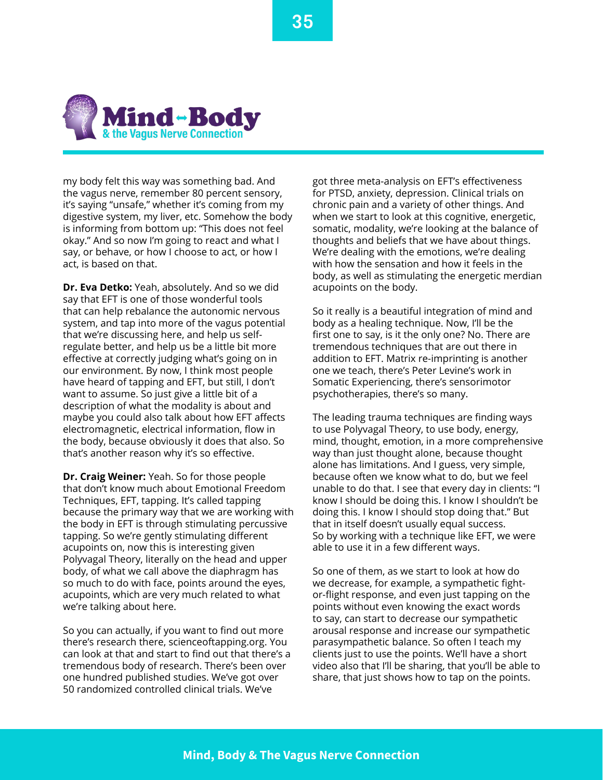

my body felt this way was something bad. And the vagus nerve, remember 80 percent sensory, it's saying "unsafe," whether it's coming from my digestive system, my liver, etc. Somehow the body is informing from bottom up: "This does not feel okay." And so now I'm going to react and what I say, or behave, or how I choose to act, or how I act, is based on that.

**Dr. Eva Detko:** Yeah, absolutely. And so we did say that EFT is one of those wonderful tools that can help rebalance the autonomic nervous system, and tap into more of the vagus potential that we're discussing here, and help us selfregulate better, and help us be a little bit more effective at correctly judging what's going on in our environment. By now, I think most people have heard of tapping and EFT, but still, I don't want to assume. So just give a little bit of a description of what the modality is about and maybe you could also talk about how EFT affects electromagnetic, electrical information, flow in the body, because obviously it does that also. So that's another reason why it's so effective.

**Dr. Craig Weiner:** Yeah. So for those people that don't know much about Emotional Freedom Techniques, EFT, tapping. It's called tapping because the primary way that we are working with the body in EFT is through stimulating percussive tapping. So we're gently stimulating different acupoints on, now this is interesting given Polyvagal Theory, literally on the head and upper body, of what we call above the diaphragm has so much to do with face, points around the eyes, acupoints, which are very much related to what we're talking about here.

So you can actually, if you want to find out more there's research there, scienceoftapping.org. You can look at that and start to find out that there's a tremendous body of research. There's been over one hundred published studies. We've got over 50 randomized controlled clinical trials. We've

got three meta-analysis on EFT's effectiveness for PTSD, anxiety, depression. Clinical trials on chronic pain and a variety of other things. And when we start to look at this cognitive, energetic, somatic, modality, we're looking at the balance of thoughts and beliefs that we have about things. We're dealing with the emotions, we're dealing with how the sensation and how it feels in the body, as well as stimulating the energetic merdian acupoints on the body.

So it really is a beautiful integration of mind and body as a healing technique. Now, I'll be the first one to say, is it the only one? No. There are tremendous techniques that are out there in addition to EFT. Matrix re-imprinting is another one we teach, there's Peter Levine's work in Somatic Experiencing, there's sensorimotor psychotherapies, there's so many.

The leading trauma techniques are finding ways to use Polyvagal Theory, to use body, energy, mind, thought, emotion, in a more comprehensive way than just thought alone, because thought alone has limitations. And I guess, very simple, because often we know what to do, but we feel unable to do that. I see that every day in clients: "I know I should be doing this. I know I shouldn't be doing this. I know I should stop doing that." But that in itself doesn't usually equal success. So by working with a technique like EFT, we were able to use it in a few different ways.

So one of them, as we start to look at how do we decrease, for example, a sympathetic fightor-flight response, and even just tapping on the points without even knowing the exact words to say, can start to decrease our sympathetic arousal response and increase our sympathetic parasympathetic balance. So often I teach my clients just to use the points. We'll have a short video also that I'll be sharing, that you'll be able to share, that just shows how to tap on the points.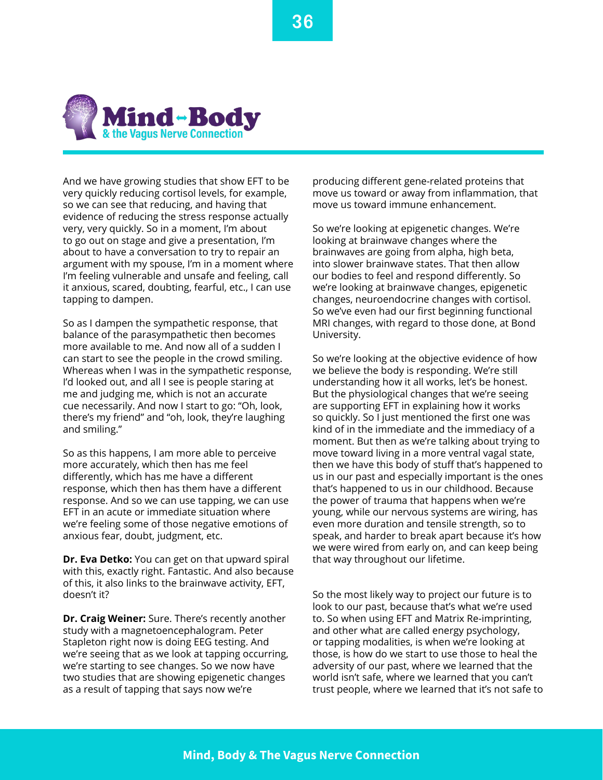

And we have growing studies that show EFT to be very quickly reducing cortisol levels, for example, so we can see that reducing, and having that evidence of reducing the stress response actually very, very quickly. So in a moment, I'm about to go out on stage and give a presentation, I'm about to have a conversation to try to repair an argument with my spouse, I'm in a moment where I'm feeling vulnerable and unsafe and feeling, call it anxious, scared, doubting, fearful, etc., I can use tapping to dampen.

So as I dampen the sympathetic response, that balance of the parasympathetic then becomes more available to me. And now all of a sudden I can start to see the people in the crowd smiling. Whereas when I was in the sympathetic response, I'd looked out, and all I see is people staring at me and judging me, which is not an accurate cue necessarily. And now I start to go: "Oh, look, there's my friend" and "oh, look, they're laughing and smiling."

So as this happens, I am more able to perceive more accurately, which then has me feel differently, which has me have a different response, which then has them have a different response. And so we can use tapping, we can use EFT in an acute or immediate situation where we're feeling some of those negative emotions of anxious fear, doubt, judgment, etc.

**Dr. Eva Detko:** You can get on that upward spiral with this, exactly right. Fantastic. And also because of this, it also links to the brainwave activity, EFT, doesn't it?

**Dr. Craig Weiner:** Sure. There's recently another study with a magnetoencephalogram. Peter Stapleton right now is doing EEG testing. And we're seeing that as we look at tapping occurring, we're starting to see changes. So we now have two studies that are showing epigenetic changes as a result of tapping that says now we're

producing different gene-related proteins that move us toward or away from inflammation, that move us toward immune enhancement.

So we're looking at epigenetic changes. We're looking at brainwave changes where the brainwaves are going from alpha, high beta, into slower brainwave states. That then allow our bodies to feel and respond differently. So we're looking at brainwave changes, epigenetic changes, neuroendocrine changes with cortisol. So we've even had our first beginning functional MRI changes, with regard to those done, at Bond University.

So we're looking at the objective evidence of how we believe the body is responding. We're still understanding how it all works, let's be honest. But the physiological changes that we're seeing are supporting EFT in explaining how it works so quickly. So I just mentioned the first one was kind of in the immediate and the immediacy of a moment. But then as we're talking about trying to move toward living in a more ventral vagal state, then we have this body of stuff that's happened to us in our past and especially important is the ones that's happened to us in our childhood. Because the power of trauma that happens when we're young, while our nervous systems are wiring, has even more duration and tensile strength, so to speak, and harder to break apart because it's how we were wired from early on, and can keep being that way throughout our lifetime.

So the most likely way to project our future is to look to our past, because that's what we're used to. So when using EFT and Matrix Re-imprinting, and other what are called energy psychology, or tapping modalities, is when we're looking at those, is how do we start to use those to heal the adversity of our past, where we learned that the world isn't safe, where we learned that you can't trust people, where we learned that it's not safe to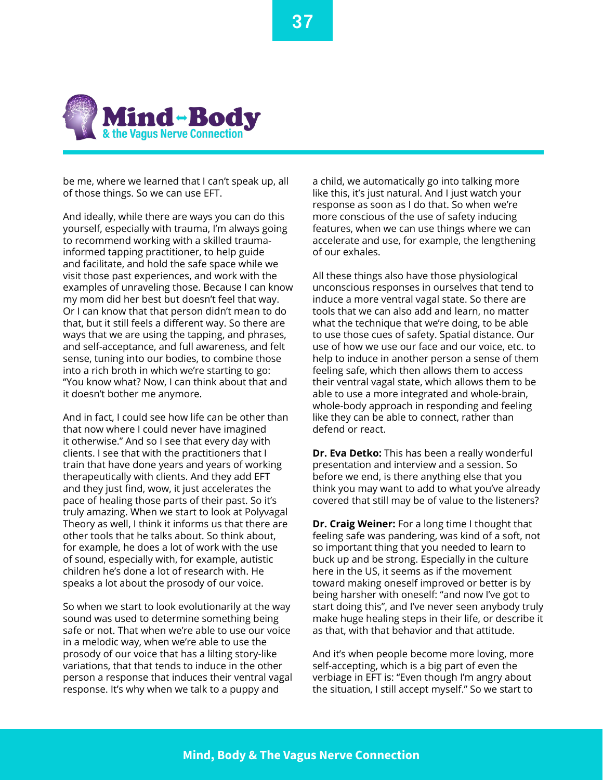

be me, where we learned that I can't speak up, all of those things. So we can use EFT.

And ideally, while there are ways you can do this yourself, especially with trauma, I'm always going to recommend working with a skilled traumainformed tapping practitioner, to help guide and facilitate, and hold the safe space while we visit those past experiences, and work with the examples of unraveling those. Because I can know my mom did her best but doesn't feel that way. Or I can know that that person didn't mean to do that, but it still feels a different way. So there are ways that we are using the tapping, and phrases, and self-acceptance, and full awareness, and felt sense, tuning into our bodies, to combine those into a rich broth in which we're starting to go: "You know what? Now, I can think about that and it doesn't bother me anymore.

And in fact, I could see how life can be other than that now where I could never have imagined it otherwise." And so I see that every day with clients. I see that with the practitioners that I train that have done years and years of working therapeutically with clients. And they add EFT and they just find, wow, it just accelerates the pace of healing those parts of their past. So it's truly amazing. When we start to look at Polyvagal Theory as well, I think it informs us that there are other tools that he talks about. So think about, for example, he does a lot of work with the use of sound, especially with, for example, autistic children he's done a lot of research with. He speaks a lot about the prosody of our voice.

So when we start to look evolutionarily at the way sound was used to determine something being safe or not. That when we're able to use our voice in a melodic way, when we're able to use the prosody of our voice that has a lilting story-like variations, that that tends to induce in the other person a response that induces their ventral vagal response. It's why when we talk to a puppy and

a child, we automatically go into talking more like this, it's just natural. And I just watch your response as soon as I do that. So when we're more conscious of the use of safety inducing features, when we can use things where we can accelerate and use, for example, the lengthening of our exhales.

All these things also have those physiological unconscious responses in ourselves that tend to induce a more ventral vagal state. So there are tools that we can also add and learn, no matter what the technique that we're doing, to be able to use those cues of safety. Spatial distance. Our use of how we use our face and our voice, etc. to help to induce in another person a sense of them feeling safe, which then allows them to access their ventral vagal state, which allows them to be able to use a more integrated and whole-brain, whole-body approach in responding and feeling like they can be able to connect, rather than defend or react.

**Dr. Eva Detko:** This has been a really wonderful presentation and interview and a session. So before we end, is there anything else that you think you may want to add to what you've already covered that still may be of value to the listeners?

**Dr. Craig Weiner:** For a long time I thought that feeling safe was pandering, was kind of a soft, not so important thing that you needed to learn to buck up and be strong. Especially in the culture here in the US, it seems as if the movement toward making oneself improved or better is by being harsher with oneself: "and now I've got to start doing this", and I've never seen anybody truly make huge healing steps in their life, or describe it as that, with that behavior and that attitude.

And it's when people become more loving, more self-accepting, which is a big part of even the verbiage in EFT is: "Even though I'm angry about the situation, I still accept myself." So we start to